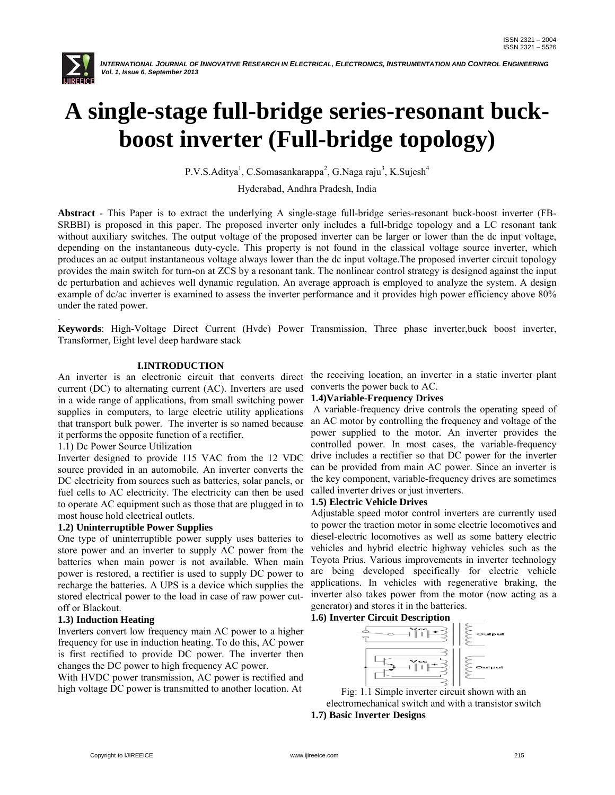

.

 *INTERNATIONAL JOURNAL OF INNOVATIVE RESEARCH IN ELECTRICAL, ELECTRONICS, INSTRUMENTATION AND CONTROL ENGINEERING Vol. 1, Issue 6, September 2013*

# **A single-stage full-bridge series-resonant buckboost inverter (Full-bridge topology)**

P.V.S.Aditya<sup>1</sup>, C.Somasankarappa<sup>2</sup>, G.Naga raju<sup>3</sup>, K.Sujesh<sup>4</sup>

Hyderabad, Andhra Pradesh, India

**Abstract** - This Paper is to extract the underlying A single-stage full-bridge series-resonant buck-boost inverter (FB-SRBBI) is proposed in this paper. The proposed inverter only includes a full-bridge topology and a LC resonant tank without auxiliary switches. The output voltage of the proposed inverter can be larger or lower than the dc input voltage, depending on the instantaneous duty-cycle. This property is not found in the classical voltage source inverter, which produces an ac output instantaneous voltage always lower than the dc input voltage.The proposed inverter circuit topology provides the main switch for turn-on at ZCS by a resonant tank. The nonlinear control strategy is designed against the input dc perturbation and achieves well dynamic regulation. An average approach is employed to analyze the system. A design example of dc/ac inverter is examined to assess the inverter performance and it provides high power efficiency above 80% under the rated power.

**Keywords**: High-Voltage Direct Current (Hvdc) Power Transmission, Three phase inverter,buck boost inverter, Transformer, Eight level deep hardware stack

#### **I.INTRODUCTION**

An inverter is an electronic circuit that converts direct current (DC) to alternating current (AC). Inverters are used in a wide range of applications, from small switching power supplies in computers, to large electric utility applications that transport bulk power. The inverter is so named because it performs the opposite function of a rectifier.

1.1) Dc Power Source Utilization

Inverter designed to provide 115 VAC from the 12 VDC source provided in an automobile. An inverter converts the DC electricity from sources such as batteries, solar panels, or fuel cells to AC electricity. The electricity can then be used to operate AC equipment such as those that are plugged in to most house hold electrical outlets.

#### **1.2) Uninterruptible Power Supplies**

One type of uninterruptible power supply uses batteries to store power and an inverter to supply AC power from the batteries when main power is not available. When main power is restored, a rectifier is used to supply DC power to recharge the batteries. A UPS is a device which supplies the stored electrical power to the load in case of raw power cutoff or Blackout.

#### **1.3) Induction Heating**

Inverters convert low frequency main AC power to a higher frequency for use in induction heating. To do this, AC power is first rectified to provide DC power. The inverter then changes the DC power to high frequency AC power.

With HVDC power transmission, AC power is rectified and high voltage DC power is transmitted to another location. At

the receiving location, an inverter in a static inverter plant converts the power back to AC.

#### **1.4)Variable-Frequency Drives**

A variable-frequency drive controls the operating speed of an AC motor by controlling the frequency and voltage of the power supplied to the motor. An inverter provides the controlled power. In most cases, the variable-frequency drive includes a rectifier so that DC power for the inverter can be provided from main AC power. Since an inverter is the key component, variable-frequency drives are sometimes called inverter drives or just inverters.

#### **1.5) Electric Vehicle Drives**

Adjustable speed motor control inverters are currently used to power the traction motor in some electric locomotives and diesel-electric locomotives as well as some battery electric vehicles and hybrid electric highway vehicles such as the Toyota Prius. Various improvements in inverter technology are being developed specifically for electric vehicle applications. In vehicles with regenerative braking, the inverter also takes power from the motor (now acting as a generator) and stores it in the batteries.

#### **1.6) Inverter Circuit Description**



Fig: 1.1 Simple inverter circuit shown with an electromechanical switch and with a transistor switch **1.7) Basic Inverter Designs**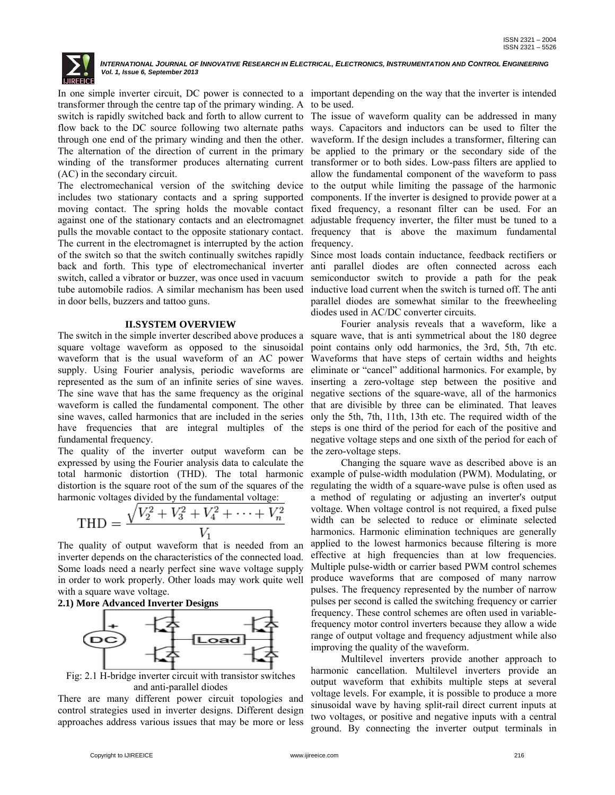

In one simple inverter circuit, DC power is connected to a important depending on the way that the inverter is intended transformer through the centre tap of the primary winding. A to be used. switch is rapidly switched back and forth to allow current to The issue of waveform quality can be addressed in many flow back to the DC source following two alternate paths ways. Capacitors and inductors can be used to filter the through one end of the primary winding and then the other. waveform. If the design includes a transformer, filtering can The alternation of the direction of current in the primary be applied to the primary or the secondary side of the winding of the transformer produces alternating current transformer or to both sides. Low-pass filters are applied to (AC) in the secondary circuit.

The electromechanical version of the switching device includes two stationary contacts and a spring supported moving contact. The spring holds the movable contact against one of the stationary contacts and an electromagnet pulls the movable contact to the opposite stationary contact. The current in the electromagnet is interrupted by the action of the switch so that the switch continually switches rapidly back and forth. This type of electromechanical inverter anti parallel diodes are often connected across each switch, called a vibrator or buzzer, was once used in vacuum tube automobile radios. A similar mechanism has been used inductive load current when the switch is turned off. The anti in door bells, buzzers and tattoo guns.

#### **II.SYSTEM OVERVIEW**

The switch in the simple inverter described above produces a square voltage waveform as opposed to the sinusoidal waveform that is the usual waveform of an AC power supply. Using Fourier analysis, periodic waveforms are represented as the sum of an infinite series of sine waves. The sine wave that has the same frequency as the original waveform is called the fundamental component. The other that are divisible by three can be eliminated. That leaves sine waves, called harmonics that are included in the series only the 5th, 7th, 11th, 13th etc. The required width of the have frequencies that are integral multiples of the fundamental frequency.

The quality of the inverter output waveform can be the zero-voltage steps. expressed by using the Fourier analysis data to calculate the total harmonic distortion (THD). The total harmonic distortion is the square root of the sum of the squares of the harmonic voltages divided by the fundamental voltage:

$$
THD = \frac{\sqrt{V_2^2 + V_3^2 + V_4^2 + \dots + V_n^2}}{V_1}
$$

The quality of output waveform that is needed from an inverter depends on the characteristics of the connected load. Some loads need a nearly perfect sine wave voltage supply in order to work properly. Other loads may work quite well with a square wave voltage.





Fig: 2.1 H-bridge inverter circuit with transistor switches and anti-parallel diodes

There are many different power circuit topologies and control strategies used in inverter designs. Different design approaches address various issues that may be more or less

allow the fundamental component of the waveform to pass to the output while limiting the passage of the harmonic components. If the inverter is designed to provide power at a fixed frequency, a resonant filter can be used. For an adjustable frequency inverter, the filter must be tuned to a frequency that is above the maximum fundamental frequency.

Since most loads contain inductance, feedback rectifiers or semiconductor switch to provide a path for the peak parallel diodes are somewhat similar to the freewheeling diodes used in AC/DC converter circuits.

 Fourier analysis reveals that a waveform, like a square wave, that is anti symmetrical about the 180 degree point contains only odd harmonics, the 3rd, 5th, 7th etc. Waveforms that have steps of certain widths and heights eliminate or "cancel" additional harmonics. For example, by inserting a zero-voltage step between the positive and negative sections of the square-wave, all of the harmonics steps is one third of the period for each of the positive and negative voltage steps and one sixth of the period for each of

 Changing the square wave as described above is an example of pulse-width modulation (PWM). Modulating, or regulating the width of a square-wave pulse is often used as a method of regulating or adjusting an inverter's output voltage. When voltage control is not required, a fixed pulse width can be selected to reduce or eliminate selected harmonics. Harmonic elimination techniques are generally applied to the lowest harmonics because filtering is more effective at high frequencies than at low frequencies. Multiple pulse-width or carrier based PWM control schemes produce waveforms that are composed of many narrow pulses. The frequency represented by the number of narrow pulses per second is called the switching frequency or carrier frequency. These control schemes are often used in variablefrequency motor control inverters because they allow a wide range of output voltage and frequency adjustment while also improving the quality of the waveform.

 Multilevel inverters provide another approach to harmonic cancellation. Multilevel inverters provide an output waveform that exhibits multiple steps at several voltage levels. For example, it is possible to produce a more sinusoidal wave by having split-rail direct current inputs at two voltages, or positive and negative inputs with a central ground. By connecting the inverter output terminals in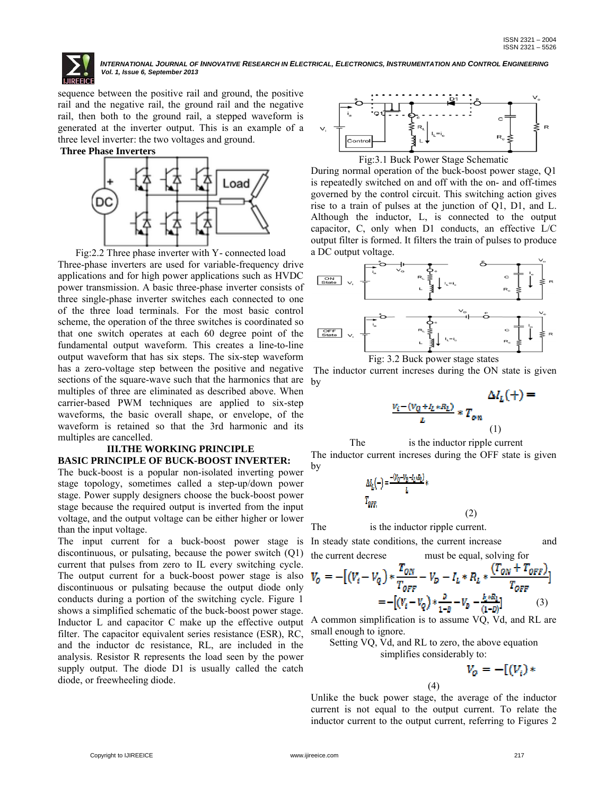sequence between the positive rail and ground, the positive rail and the negative rail, the ground rail and the negative rail, then both to the ground rail, a stepped waveform is generated at the inverter output. This is an example of a three level inverter: the two voltages and ground.

**Three Phase Inverters**



Fig:2.2 Three phase inverter with Y- connected load Three-phase inverters are used for variable-frequency drive applications and for high power applications such as HVDC power transmission. A basic three-phase inverter consists of three single-phase inverter switches each connected to one of the three load terminals. For the most basic control scheme, the operation of the three switches is coordinated so that one switch operates at each 60 degree point of the fundamental output waveform. This creates a line-to-line output waveform that has six steps. The six-step waveform has a zero-voltage step between the positive and negative sections of the square-wave such that the harmonics that are multiples of three are eliminated as described above. When carrier-based PWM techniques are applied to six-step waveforms, the basic overall shape, or envelope, of the waveform is retained so that the 3rd harmonic and its multiples are cancelled.

### **III.THE WORKING PRINCIPLE BASIC PRINCIPLE OF BUCK-BOOST INVERTER:**

The buck-boost is a popular non-isolated inverting power stage topology, sometimes called a step-up/down power stage. Power supply designers choose the buck-boost power stage because the required output is inverted from the input voltage, and the output voltage can be either higher or lower than the input voltage.

The input current for a buck-boost power stage is In steady state conditions, the current increase and discontinuous, or pulsating, because the power switch (Q1) current that pulses from zero to IL every switching cycle. The output current for a buck-boost power stage is also  $\bar{V}$ discontinuous or pulsating because the output diode only conducts during a portion of the switching cycle. Figure 1 shows a simplified schematic of the buck-boost power stage. Inductor L and capacitor C make up the effective output filter. The capacitor equivalent series resistance (ESR), RC, and the inductor dc resistance, RL, are included in the analysis. Resistor R represents the load seen by the power supply output. The diode D1 is usually called the catch diode, or freewheeling diode.



During normal operation of the buck-boost power stage, Q1 is repeatedly switched on and off with the on- and off-times governed by the control circuit. This switching action gives rise to a train of pulses at the junction of Q1, D1, and L. Although the inductor, L, is connected to the output capacitor, C, only when D1 conducts, an effective L/C output filter is formed. It filters the train of pulses to produce a DC output voltage.





The inductor current increses during the ON state is given by

$$
\Delta I_L(+) = \frac{\Delta I_L(+) = \Delta I_L(+) = \Delta I_L(+) = \Delta I_R(+) = \Delta I_R(+) = \Delta I_R(+) = \Delta I_R(+) = \Delta I_R(+) = \Delta I_R(+) = \Delta I_R(+) = \Delta I_R(+) = \Delta I_R(+) = \Delta I_R(+) = \Delta I_R(+) = \Delta I_R(+) = \Delta I_R(+) = \Delta I_R(+) = \Delta I_R(+) = \Delta I_R(+) = \Delta I_R(+) = \Delta I_R(+) = \Delta I_R(+) = \Delta I_R(+) = \Delta I_R(+) = \Delta I_R(+) = \Delta I_R(+) = \Delta I_R(+) = \Delta I_R(+) = \Delta I_R(+) = \Delta I_R(+) = \Delta I_R(+) = \Delta I_R(+) = \Delta I_R(+) = \Delta I_R(+) = \Delta I_R(+) = \Delta I_R(+) = \Delta I_R(+) = \Delta I_R(+) = \Delta I_R(+) = \Delta I_R(+) = \Delta I_R(+) = \Delta I_R(+) = \Delta I_R(+) = \Delta I_R(+) = \Delta I_R(+) = \Delta I_R(+) = \Delta I_R(+) = \Delta I_R(+) = \Delta I_R(+) = \Delta I_R(+) = \Delta I_R(+) = \Delta I_R(+) = \Delta I_R(+) = \Delta I_R(+) = \Delta I_R(+) = \Delta I_R(+) = \Delta I_R(+) = \Delta I_R(+) = \Delta I_R(+) = \Delta I_R(+) = \Delta I_R(+) = \Delta I_R(+) = \Delta I_R(+) = \Delta I_R(+) = \Delta I_R(+) = \Delta I_R(+) = \Delta I_R(+) = \Delta I_R(+) = \Delta I_R(+) = \Delta I_R(+) = \Delta I_R(+) = \Delta I_R(+) = \Delta I_R(+) = \Delta I_R(+) = \Delta I_R(+) = \Delta I_R(+) = \Delta I_R(+) = \Delta I_R(+) = \Delta I_R(+) = \Delta I_R(+) = \Delta I_R(+) = \Delta I_R(+) = \Delta I_R(+) = \Delta I_R(+) = \Delta I_R(+) = \Delta I_R(+) = \Delta I_R(+) = \Delta I_R(+) = \Delta I_R(+) = \Delta I_R(+) = \Delta I_R(+) = \Delta I_R(+) = \Delta I_R(+) = \Delta I_R(+) = \Delta I_R(+) = \Delta I_R(+) = \Delta I_R(+) = \Delta I_R(+) = \Delta I_R(+) = \Delta I_R(+) = \Delta I_R(+) = \Delta I_R(+) = \Delta I_R(+) = \Delta I_R(+) = \Delta I_R(+) = \Delta I_R(+) = \Delta I_R(+) = \Delta
$$

(2)

The is the inductor ripple current The inductor current increses during the OFF state is given by

$$
\begin{aligned} \Delta l_L(-) = &\frac{-(v_0-v_0-l_L\kappa_{L})}{L} * \\ T_{QFF.} \end{aligned}
$$

The is the inductor ripple current.

the current decrese must be equal, solving for

$$
V_0 = -[(V_t - V_Q) * \frac{T_{ON}}{T_{OFF}} - V_D - I_L * R_L * \frac{(T_{ON} + T_{OFF})}{T_{OFF}}]
$$
  
= -[(V\_t - V\_Q) \* \frac{P}{1 - D} - V\_D - \frac{I\_L \* R\_L}{(1 - D)}] (3)

A common simplification is to assume VQ, Vd, and RL are small enough to ignore.

Setting VQ, Vd, and RL to zero, the above equation simplifies considerably to:

$$
V_o = -[(V_i)*
$$

Unlike the buck power stage, the average of the inductor current is not equal to the output current. To relate the inductor current to the output current, referring to Figures 2

(4)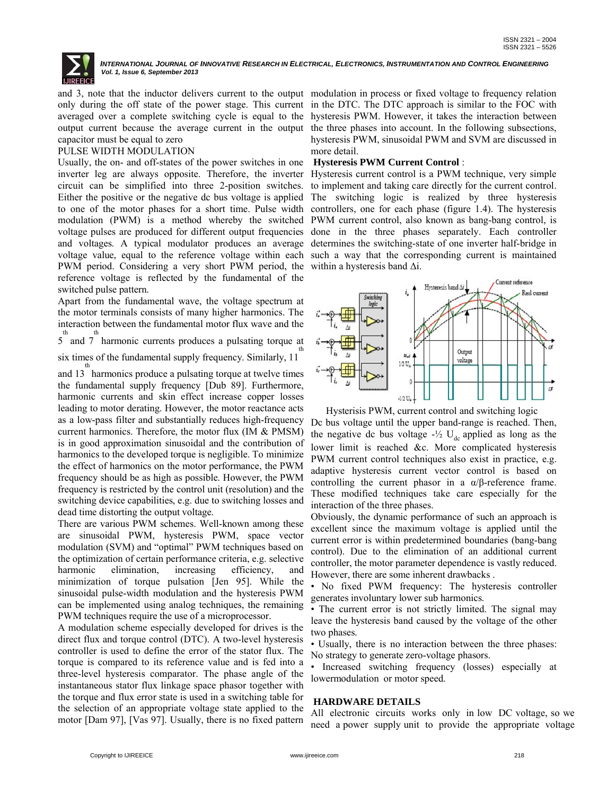

and 3, note that the inductor delivers current to the output modulation in process or fixed voltage to frequency relation capacitor must be equal to zero

#### PULSE WIDTH MODULATION

Usually, the on- and off-states of the power switches in one inverter leg are always opposite. Therefore, the inverter circuit can be simplified into three 2-position switches. Either the positive or the negative dc bus voltage is applied to one of the motor phases for a short time. Pulse width modulation (PWM) is a method whereby the switched voltage pulses are produced for different output frequencies done in the three phases separately. Each controller and voltages. A typical modulator produces an average determines the switching-state of one inverter half-bridge in voltage value, equal to the reference voltage within each such a way that the corresponding current is maintained PWM period. Considering a very short PWM period, the within a hysteresis band Δi. reference voltage is reflected by the fundamental of the switched pulse pattern.

Apart from the fundamental wave, the voltage spectrum at the motor terminals consists of many higher harmonics. The interaction between the fundamental motor flux wave and the

th the the three terms produces a pulsating torque at 5 and 7 harmonic currents produces a pulsating torque at th

six times of the fundamental supply frequency. Similarly, 11 th

and 13 harmonics produce a pulsating torque at twelve times the fundamental supply frequency [Dub 89]. Furthermore, harmonic currents and skin effect increase copper losses leading to motor derating. However, the motor reactance acts as a low-pass filter and substantially reduces high-frequency current harmonics. Therefore, the motor flux (IM & PMSM) is in good approximation sinusoidal and the contribution of harmonics to the developed torque is negligible. To minimize the effect of harmonics on the motor performance, the PWM frequency should be as high as possible. However, the PWM frequency is restricted by the control unit (resolution) and the switching device capabilities, e.g. due to switching losses and dead time distorting the output voltage.

There are various PWM schemes. Well-known among these are sinusoidal PWM, hysteresis PWM, space vector modulation (SVM) and "optimal" PWM techniques based on the optimization of certain performance criteria, e.g. selective harmonic elimination, increasing efficiency, and minimization of torque pulsation [Jen 95]. While the sinusoidal pulse-width modulation and the hysteresis PWM can be implemented using analog techniques, the remaining PWM techniques require the use of a microprocessor.

A modulation scheme especially developed for drives is the direct flux and torque control (DTC). A two-level hysteresis controller is used to define the error of the stator flux. The torque is compared to its reference value and is fed into a three-level hysteresis comparator. The phase angle of the instantaneous stator flux linkage space phasor together with the torque and flux error state is used in a switching table for the selection of an appropriate voltage state applied to the motor [Dam 97], [Vas 97]. Usually, there is no fixed pattern

only during the off state of the power stage. This current in the DTC. The DTC approach is similar to the FOC with averaged over a complete switching cycle is equal to the hysteresis PWM. However, it takes the interaction between output current because the average current in the output the three phases into account. In the following subsections, hysteresis PWM, sinusoidal PWM and SVM are discussed in more detail.

#### **Hysteresis PWM Current Control** :

Hysteresis current control is a PWM technique, very simple to implement and taking care directly for the current control. The switching logic is realized by three hysteresis controllers, one for each phase (figure 1.4). The hysteresis PWM current control, also known as bang-bang control, is



Hysterisis PWM, current control and switching logic

Dc bus voltage until the upper band-range is reached. Then, the negative dc bus voltage  $-\frac{1}{2}$  U<sub>dc</sub> applied as long as the lower limit is reached &c. More complicated hysteresis PWM current control techniques also exist in practice, e.g. adaptive hysteresis current vector control is based on controlling the current phasor in a  $\alpha/\beta$ -reference frame. These modified techniques take care especially for the interaction of the three phases.

Obviously, the dynamic performance of such an approach is excellent since the maximum voltage is applied until the current error is within predetermined boundaries (bang-bang control). Due to the elimination of an additional current controller, the motor parameter dependence is vastly reduced. However, there are some inherent drawbacks .

• No fixed PWM frequency: The hysteresis controller generates involuntary lower sub harmonics.

• The current error is not strictly limited. The signal may leave the hysteresis band caused by the voltage of the other two phases.

• Usually, there is no interaction between the three phases: No strategy to generate zero-voltage phasors.

• Increased switching frequency (losses) especially at lowermodulation or motor speed.

#### **HARDWARE DETAILS**

All electronic circuits works only in low DC voltage, so we need a power supply unit to provide the appropriate voltage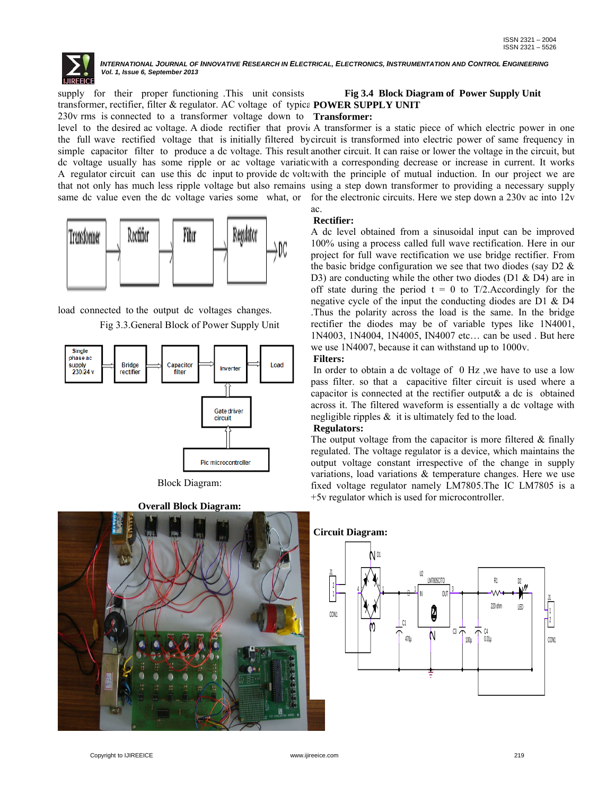

supply for their proper functioning .This unit consists transformer, rectifier, filter & regulator. AC voltage of typica POWER SUPPLY UNIT 230v rms is connected to a transformer voltage down to **Transformer:** 

level to the desired ac voltage. A diode rectifier that provide A transformer is a static piece of which electric power in one the full wave rectified voltage that is initially filtered by circuit is transformed into electric power of same frequency in simple capacitor filter to produce a dc voltage. This result another circuit. It can raise or lower the voltage in the circuit, but dc voltage usually has some ripple or ac voltage variation with a corresponding decrease or increase in current. It works A regulator circuit can use this dc input to provide dc voltawith the principle of mutual induction. In our project we are that not only has much less ripple voltage but also remains using a step down transformer to providing a necessary supply same dc value even the dc voltage varies some what, or for the electronic circuits. Here we step down a 230v ac into 12v



load connected to the output dc voltages changes. Fig 3.3.General Block of Power Supply Unit



Block Diagram:

**Overall Block Diagram:**



## **Fig 3.4 Block Diagram of Power Supply Unit**

ac. **Rectifier:**  A dc level obtained from a sinusoidal input can be improved 100% using a process called full wave rectification. Here in our project for full wave rectification we use bridge rectifier. From the basic bridge configuration we see that two diodes (say  $D2 \&$ D3) are conducting while the other two diodes (D1  $\&$  D4) are in off state during the period  $t = 0$  to T/2. Accordingly for the negative cycle of the input the conducting diodes are D1 & D4 .Thus the polarity across the load is the same. In the bridge rectifier the diodes may be of variable types like 1N4001, 1N4003, 1N4004, 1N4005, IN4007 etc… can be used . But here we use 1N4007, because it can withstand up to 1000v. **Filters:**

In order to obtain a dc voltage of 0 Hz ,we have to use a low pass filter. so that a capacitive filter circuit is used where a capacitor is connected at the rectifier output& a dc is obtained across it. The filtered waveform is essentially a dc voltage with negligible ripples  $\&$  it is ultimately fed to the load.

#### **Regulators:**

The output voltage from the capacitor is more filtered  $\&$  finally regulated. The voltage regulator is a device, which maintains the output voltage constant irrespective of the change in supply variations, load variations & temperature changes. Here we use fixed voltage regulator namely LM7805.The IC LM7805 is a +5v regulator which is used for microcontroller.

#### **Circuit Diagram:**

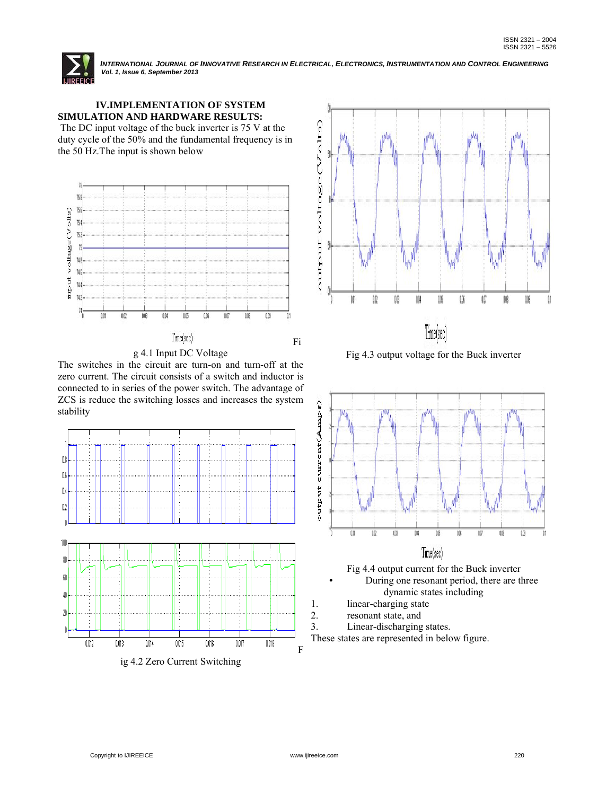

### **IV.IMPLEMENTATION OF SYSTEM SIMULATION AND HARDWARE RESULTS:**

The DC input voltage of the buck inverter is 75 V at the duty cycle of the 50% and the fundamental frequency is in the 50 Hz.The input is shown below





Fig 4.3 output voltage for the Buck inverter



Fig 4.4 output current for the Buck inverter • During one resonant period, there are three dynamic states including

- 1. linear-charging state
- 2. resonant state, and
- 3. Linear-discharging states.

These states are represented in below figure.



The switches in the circuit are turn-on and turn-off at the zero current. The circuit consists of a switch and inductor is connected to in series of the power switch. The advantage of ZCS is reduce the switching losses and increases the system stability



ig 4.2 Zero Current Switching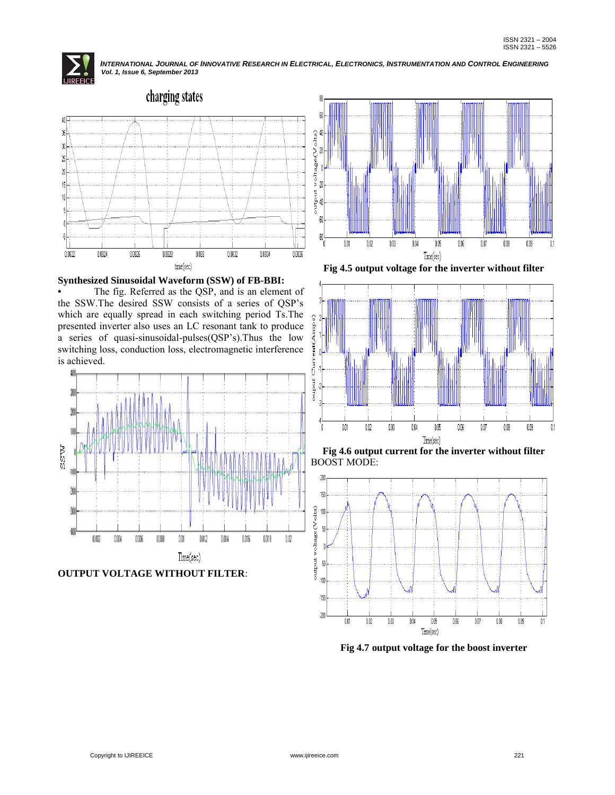



#### **Synthesized Sinusoidal Waveform (SSW) of FB-BBI:**

The fig. Referred as the QSP, and is an element of the SSW.The desired SSW consists of a series of QSP's which are equally spread in each switching period Ts.The presented inverter also uses an LC resonant tank to produce a series of quasi-sinusoidal-pulses(QSP's).Thus the low switching loss, conduction loss, electromagnetic interference is achieved.



**OUTPUT VOLTAGE WITHOUT FILTER**:



**Fig 4.5 output voltage for the inverter without filter**







**Fig 4.7 output voltage for the boost inverter**